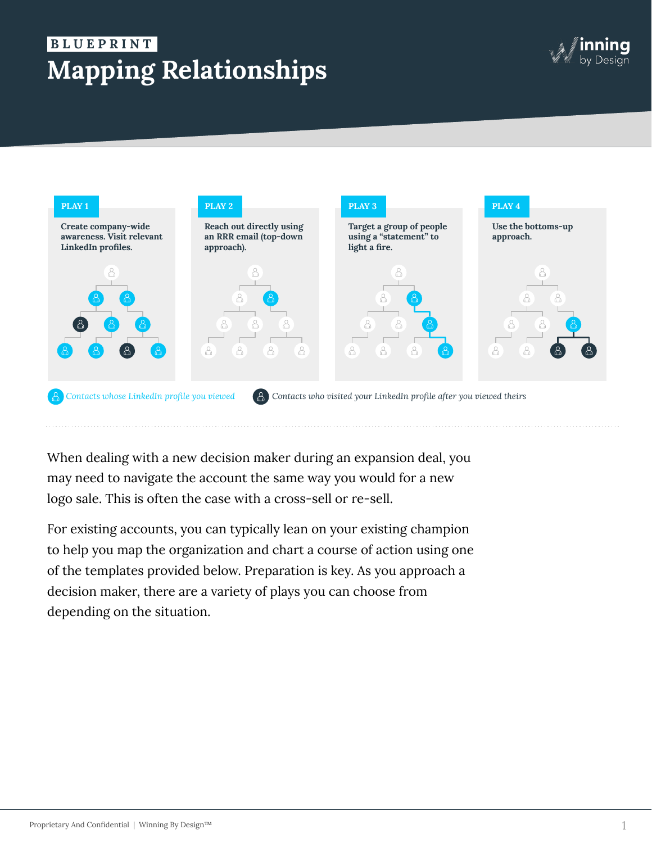# **Mapping Relationships B L U E P R I N T .**





When dealing with a new decision maker during an expansion deal, you may need to navigate the account the same way you would for a new logo sale. This is often the case with a cross-sell or re-sell.

For existing accounts, you can typically lean on your existing champion to help you map the organization and chart a course of action using one of the templates provided below. Preparation is key. As you approach a decision maker, there are a variety of plays you can choose from depending on the situation.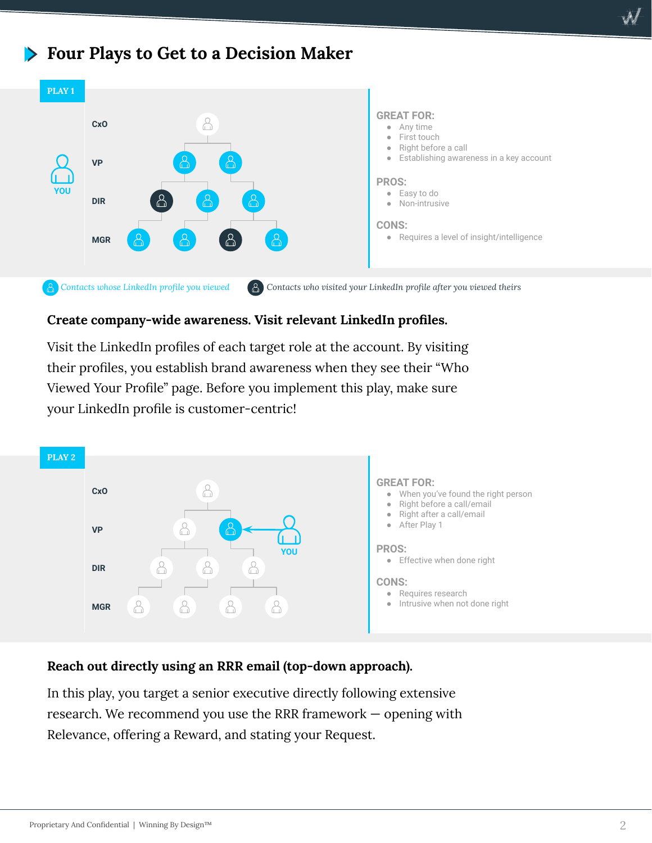# **Four Plays to Get to a Decision Maker**



## **Create company-wide awareness. Visit relevant LinkedIn profiles.**

Visit the LinkedIn profiles of each target role at the account. By visiting their profiles, you establish brand awareness when they see their "Who Viewed Your Profile" page. Before you implement this play, make sure your LinkedIn profile is customer-centric!



### **Reach out directly using an RRR email (top-down approach).**

In this play, you target a senior executive directly following extensive research. We recommend you use the RRR framework — opening with Relevance, offering a Reward, and stating your Request.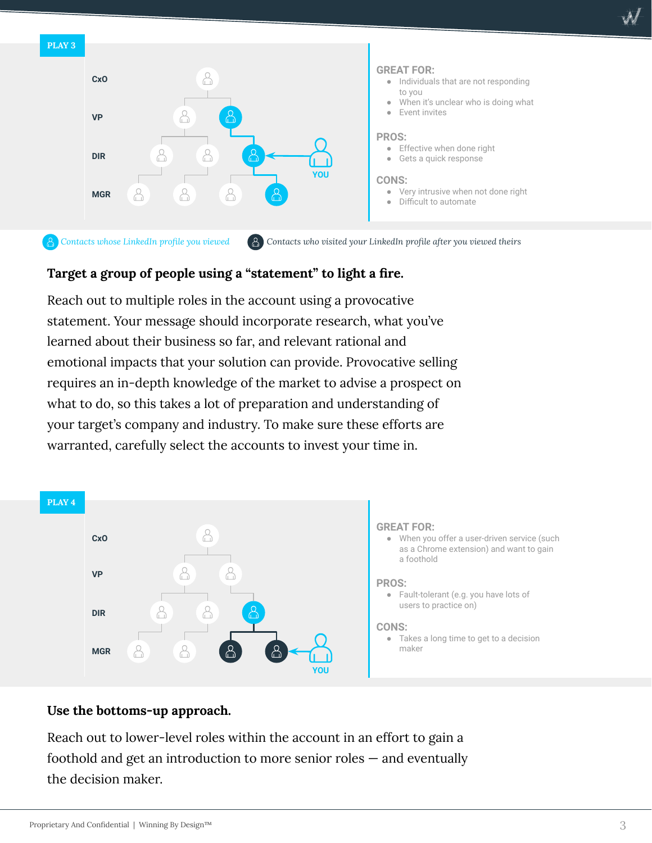



# **Target a group of people using a "statement" to light a fire.**

Reach out to multiple roles in the account using a provocative statement. Your message should incorporate research, what you've learned about their business so far, and relevant rational and emotional impacts that your solution can provide. Provocative selling requires an in-depth knowledge of the market to advise a prospect on what to do, so this takes a lot of preparation and understanding of your target's company and industry. To make sure these efforts are warranted, carefully select the accounts to invest your time in.



# **Use the bottoms-up approach.**

Reach out to lower-level roles within the account in an effort to gain a foothold and get an introduction to more senior roles — and eventually the decision maker.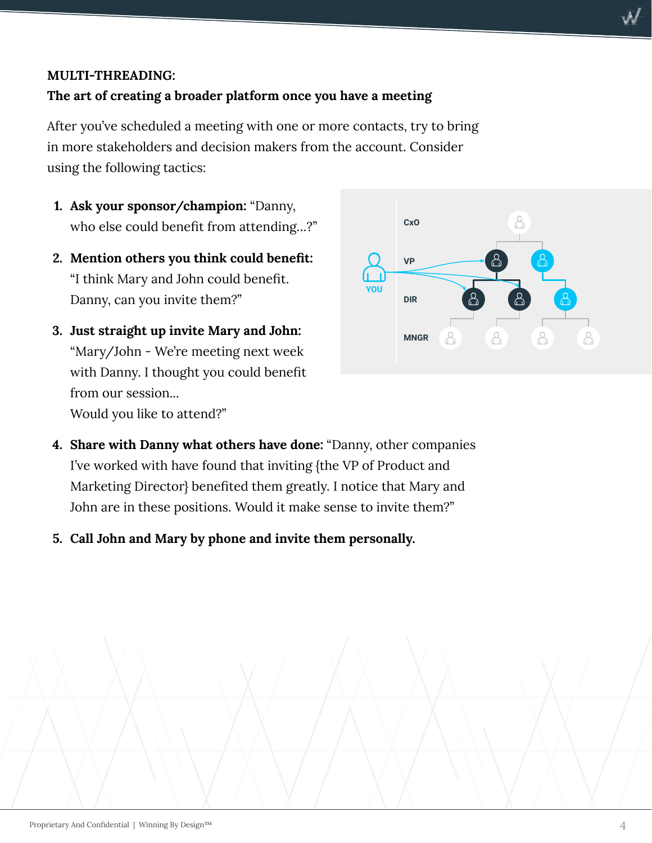# **MULTI-THREADING:**

# **The art of creating a broader platform once you have a meeting**

After you've scheduled a meeting with one or more contacts, try to bring in more stakeholders and decision makers from the account. Consider using the following tactics:

- **1. Ask your sponsor/champion:** "Danny, who else could benefit from attending…?"
- **2. Mention others you think could benefit:** "I think Mary and John could benefit. Danny, can you invite them?"
- **3. Just straight up invite Mary and John:**  "Mary/John - We're meeting next week with Danny. I thought you could benefit from our session... Would you like to attend?"



- **4. Share with Danny what others have done:** "Danny, other companies I've worked with have found that inviting {the VP of Product and Marketing Director} benefited them greatly. I notice that Mary and John are in these positions. Would it make sense to invite them?"
- **5. Call John and Mary by phone and invite them personally.**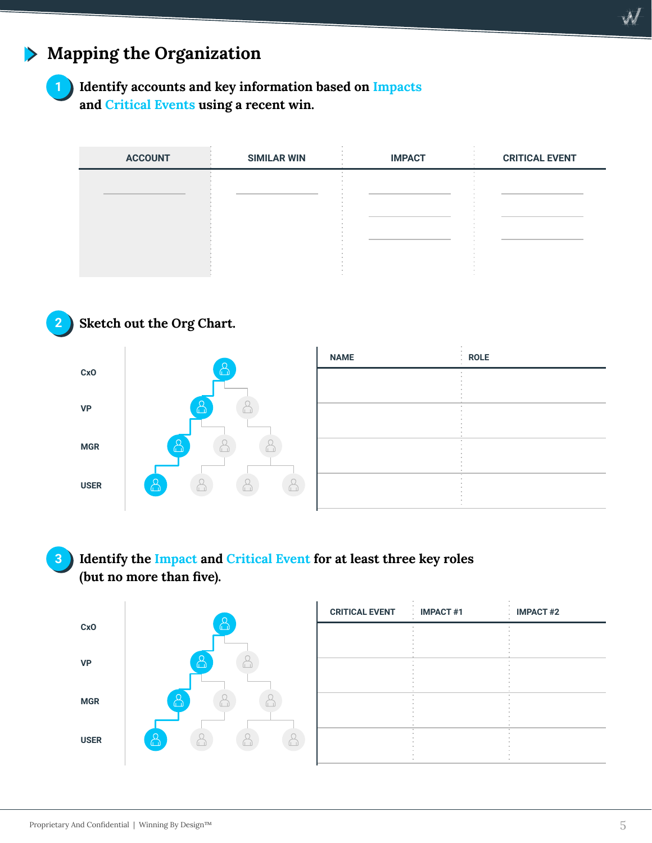#### **Mapping the Organization**



# **1 Identify accounts and key information based on Impacts and Critical Events using a recent win.**

| <b>ACCOUNT</b> | <b>SIMILAR WIN</b> | <b>IMPACT</b> | <b>CRITICAL EVENT</b> |
|----------------|--------------------|---------------|-----------------------|
|                |                    |               |                       |
|                |                    |               |                       |
|                |                    |               |                       |
|                |                    |               |                       |
|                |                    |               |                       |





| <b>NAME</b> | <b>ROLE</b><br>ä. |
|-------------|-------------------|
|             |                   |
|             |                   |
|             |                   |
|             |                   |
|             |                   |
|             |                   |
|             |                   |
|             |                   |
|             |                   |

# **3 Identify the Impact and Critical Event for at least three key roles (but no more than five).**



| <b>CRITICAL EVENT : IMPACT #1</b> | <b>IMPACT#2</b> |
|-----------------------------------|-----------------|
|                                   |                 |
|                                   |                 |
|                                   |                 |
|                                   |                 |
|                                   |                 |
|                                   |                 |
|                                   |                 |

 $\mathscr{N}$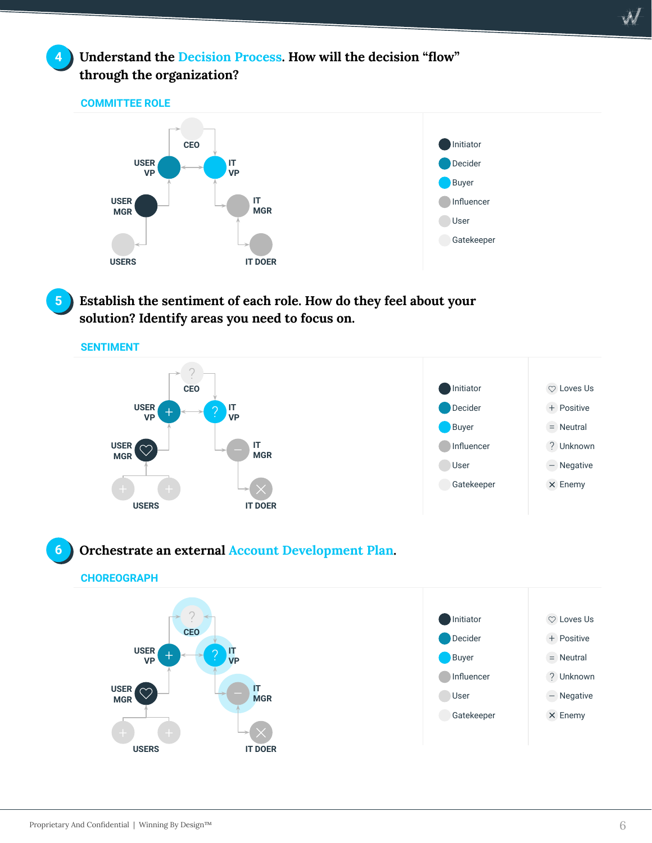

**4 Understand the Decision Process. How will the decision "flow" through the organization?**

#### **COMMITTEE ROLE**





**5 Establish the sentiment of each role. How do they feel about your solution? Identify areas you need to focus on.**



### **6 Orchestrate an external Account Development Plan.**

#### **CHOREOGRAPH**

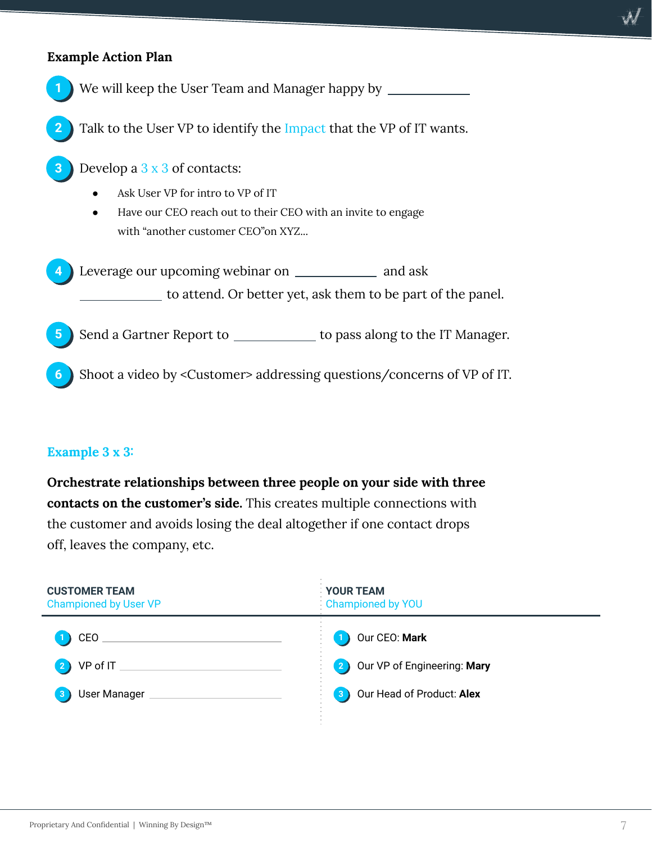## **Example Action Plan**



### **Example 3 x 3:**

**Orchestrate relationships between three people on your side with three contacts on the customer's side.** This creates multiple connections with the customer and avoids losing the deal altogether if one contact drops off, leaves the company, etc.